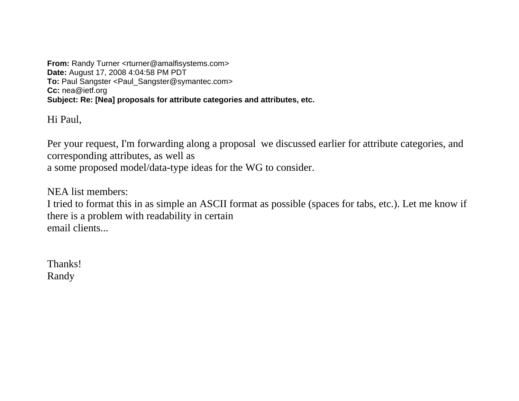**From:** Randy Turner <rturner@amalfisystems.com> **Date:** August 17, 2008 4:04:58 PM PDT **To:** Paul Sangster <Paul\_Sangster@symantec.com> **Cc:** nea@ietf.org **Subject: Re: [Nea] proposals for attribute categories and attributes, etc.** 

Hi Paul,

Per your request, I'm forwarding along a proposal we discussed earlier for attribute categories, and corresponding attributes, as well as a some proposed model/data-type ideas for the WG to consider.

NEA list members:

I tried to format this in as simple an ASCII format as possible (spaces for tabs, etc.). Let me know if there is a problem with readability in certain email clients...

Thanks! Randy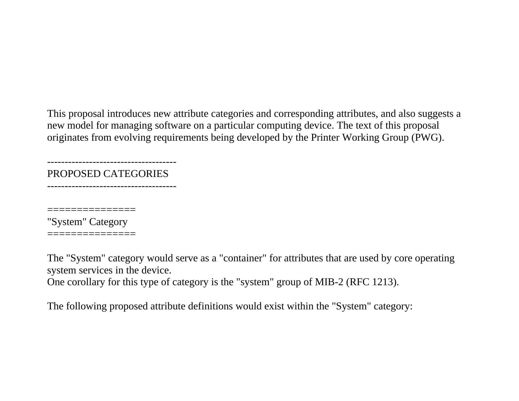This proposal introduces new attribute categories and corresponding attributes, and also suggests a new model for managing software on a particular computing device. The text of this proposal originates from evolving requirements being developed by the Printer Working Group (PWG).

PROPOSED CATEGORIES

-------------------------------------

-------------------------------------

===============

"System" Category ===============

The "System" category would serve as a "container" for attributes that are used by core operating system services in the device.

One corollary for this type of category is the "system" group of MIB-2 (RFC 1213).

The following proposed attribute definitions would exist within the "System" category: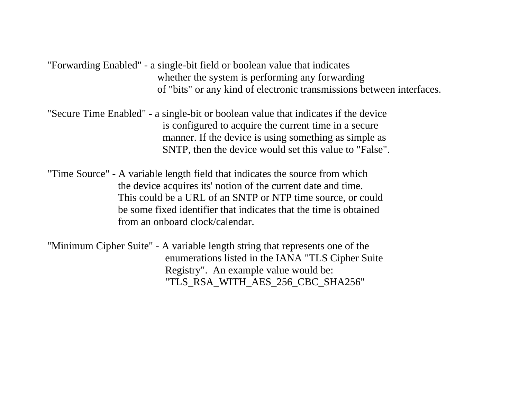"Forwarding Enabled" - a single-bit field or boolean value that indicates whether the system is performing any forwarding of "bits" or any kind of electronic transmissions between interfaces.

"Secure Time Enabled" - a single-bit or boolean value that indicates if the device is configured to acquire the current time in a secure manner. If the device is using something as simple as SNTP, then the device would set this value to "False".

"Time Source" - A variable length field that indicates the source from which the device acquires its' notion of the current date and time. This could be a URL of an SNTP or NTP time source, or could be some fixed identifier that indicates that the time is obtained from an onboard clock/calendar.

"Minimum Cipher Suite" - A variable length string that represents one of the enumerations listed in the IANA "TLS Cipher Suite Registry". An example value would be: "TLS\_RSA\_WITH\_AES\_256\_CBC\_SHA256"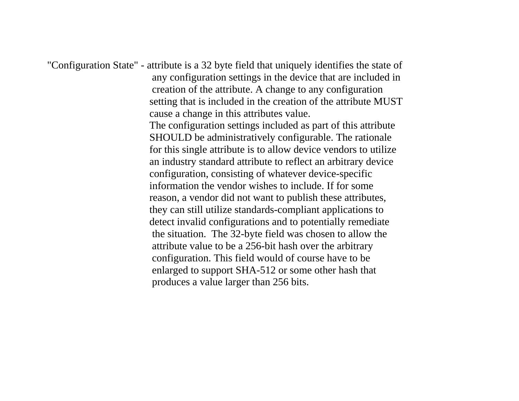"Configuration State" - attribute is a 32 byte field that uniquely identifies the state of any configuration settings in the device that are included in creation of the attribute. A change to any configuration setting that is included in the creation of the attribute MUST cause a change in this attributes value. The configuration settings included as part of this attribute SHOULD be administratively configurable. The rationale for this single attribute is to allow device vendors to utilize an industry standard attribute to reflect an arbitrary device configuration, consisting of whatever device-specific information the vendor wishes to include. If for some reason, a vendor did not want to publish these attributes, they can still utilize standards-compliant applications to detect invalid configurations and to potentially remediate the situation. The 32-byte field was chosen to allow the attribute value to be a 256-bit hash over the arbitrary configuration. This field would of course have to be enlarged to support SHA-512 or some other hash that produces a value larger than 256 bits.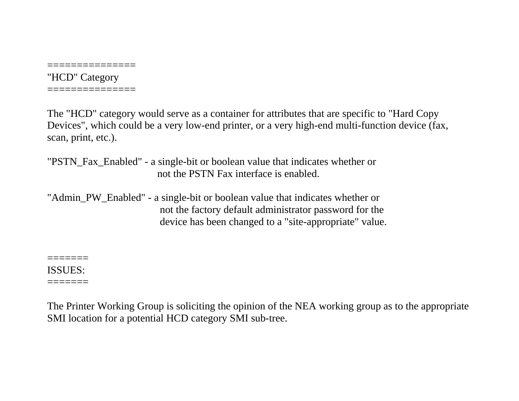"HCD" Category

===============

===============

The "HCD" category would serve as a container for attributes that are specific to "Hard Copy Devices", which could be a very low-end printer, or a very high-end multi-function device (fax, scan, print, etc.).

"PSTN\_Fax\_Enabled" - a single-bit or boolean value that indicates whether or not the PSTN Fax interface is enabled.

"Admin\_PW\_Enabled" - a single-bit or boolean value that indicates whether or not the factory default administrator password for the device has been changed to a "site-appropriate" value.

======= ISSUES:

=======

The Printer Working Group is soliciting the opinion of the NEA working group as to the appropriate SMI location for a potential HCD category SMI sub-tree.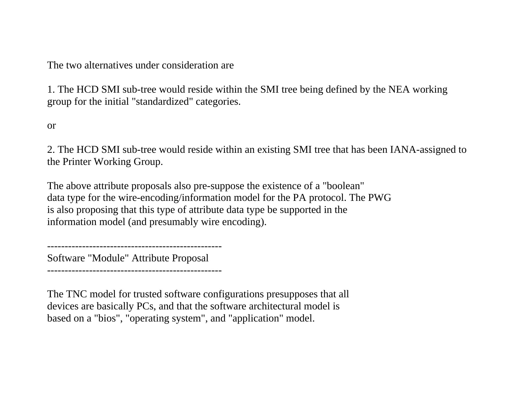The two alternatives under consideration are

1. The HCD SMI sub-tree would reside within the SMI tree being defined by the NEA working group for the initial "standardized" categories.

or

2. The HCD SMI sub-tree would reside within an existing SMI tree that has been IANA-assigned to the Printer Working Group.

The above attribute proposals also pre-suppose the existence of a "boolean" data type for the wire-encoding/information model for the PA protocol. The PWG is also proposing that this type of attribute data type be supported in the information model (and presumably wire encoding).

-------------------------------------------------- Software "Module" Attribute Proposal

--------------------------------------------------

The TNC model for trusted software configurations presupposes that all devices are basically PCs, and that the software architectural model is based on a "bios", "operating system", and "application" model.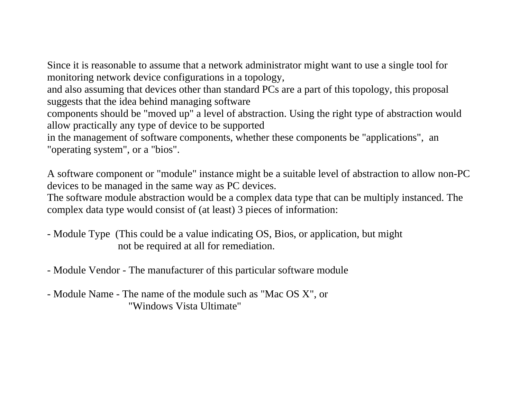Since it is reasonable to assume that a network administrator might want to use a single tool for monitoring network device configurations in a topology,

and also assuming that devices other than standard PCs are a part of this topology, this proposal suggests that the idea behind managing software

components should be "moved up" a level of abstraction. Using the right type of abstraction would allow practically any type of device to be supported

in the management of software components, whether these components be "applications", an "operating system", or a "bios".

A software component or "module" instance might be a suitable level of abstraction to allow non-PC devices to be managed in the same way as PC devices.

The software module abstraction would be a complex data type that can be multiply instanced. The complex data type would consist of (at least) 3 pieces of information:

- Module Type (This could be a value indicating OS, Bios, or application, but might not be required at all for remediation.

- Module Vendor - The manufacturer of this particular software module

- Module Name - The name of the module such as "Mac OS X", or "Windows Vista Ultimate"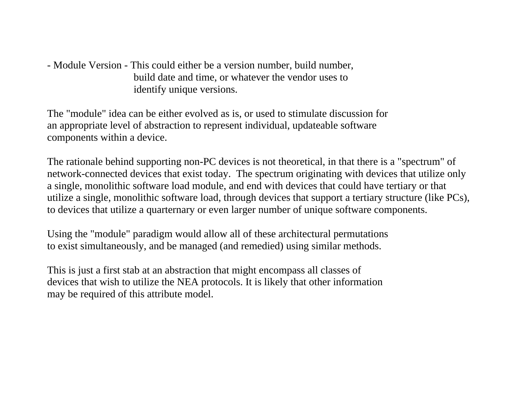- Module Version - This could either be a version number, build number, build date and time, or whatever the vendor uses to identify unique versions.

The "module" idea can be either evolved as is, or used to stimulate discussion for an appropriate level of abstraction to represent individual, updateable software components within a device.

The rationale behind supporting non-PC devices is not theoretical, in that there is a "spectrum" of network-connected devices that exist today. The spectrum originating with devices that utilize only a single, monolithic software load module, and end with devices that could have tertiary or that utilize a single, monolithic software load, through devices that support a tertiary structure (like PCs), to devices that utilize a quarternary or even larger number of unique software components.

Using the "module" paradigm would allow all of these architectural permutations to exist simultaneously, and be managed (and remedied) using similar methods.

This is just a first stab at an abstraction that might encompass all classes of devices that wish to utilize the NEA protocols. It is likely that other information may be required of this attribute model.